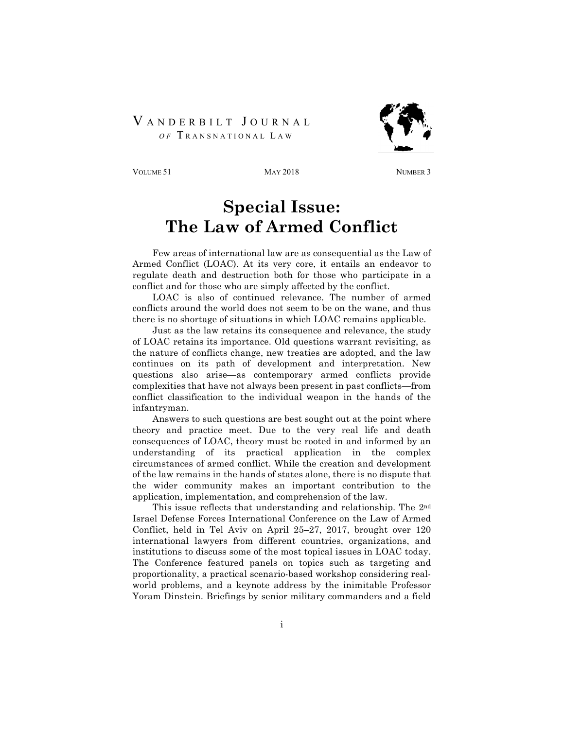## VANDERBILT JOURNAL  *O F* T RANSNATIONAL L A W



VOLUME 51 MAY 2018 MAY 2018 NUMBER 3

## **Special Issue: The Law of Armed Conflict**

Few areas of international law are as consequential as the Law of Armed Conflict (LOAC). At its very core, it entails an endeavor to regulate death and destruction both for those who participate in a conflict and for those who are simply affected by the conflict.

LOAC is also of continued relevance. The number of armed conflicts around the world does not seem to be on the wane, and thus there is no shortage of situations in which LOAC remains applicable.

Just as the law retains its consequence and relevance, the study of LOAC retains its importance. Old questions warrant revisiting, as the nature of conflicts change, new treaties are adopted, and the law continues on its path of development and interpretation. New questions also arise—as contemporary armed conflicts provide complexities that have not always been present in past conflicts—from conflict classification to the individual weapon in the hands of the infantryman.

Answers to such questions are best sought out at the point where theory and practice meet. Due to the very real life and death consequences of LOAC, theory must be rooted in and informed by an understanding of its practical application in the complex circumstances of armed conflict. While the creation and development of the law remains in the hands of states alone, there is no dispute that the wider community makes an important contribution to the application, implementation, and comprehension of the law.

This issue reflects that understanding and relationship. The 2nd Israel Defense Forces International Conference on the Law of Armed Conflict, held in Tel Aviv on April 25–27, 2017, brought over 120 international lawyers from different countries, organizations, and institutions to discuss some of the most topical issues in LOAC today. The Conference featured panels on topics such as targeting and proportionality, a practical scenario-based workshop considering realworld problems, and a keynote address by the inimitable Professor Yoram Dinstein. Briefings by senior military commanders and a field